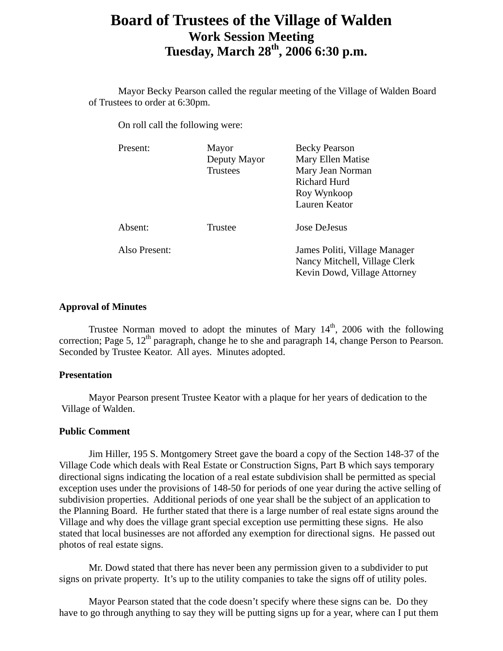# **Board of Trustees of the Village of Walden Work Session Meeting Tuesday, March 28th, 2006 6:30 p.m.**

 Mayor Becky Pearson called the regular meeting of the Village of Walden Board of Trustees to order at 6:30pm.

On roll call the following were:

| Present:      | Mayor<br>Deputy Mayor<br><b>Trustees</b> | <b>Becky Pearson</b><br>Mary Ellen Matise<br>Mary Jean Norman<br><b>Richard Hurd</b><br>Roy Wynkoop<br><b>Lauren Keator</b> |
|---------------|------------------------------------------|-----------------------------------------------------------------------------------------------------------------------------|
| Absent:       | Trustee                                  | Jose DeJesus                                                                                                                |
| Also Present: |                                          | James Politi, Village Manager<br>Nancy Mitchell, Village Clerk<br>Kevin Dowd, Village Attorney                              |

## **Approval of Minutes**

Trustee Norman moved to adopt the minutes of Mary  $14<sup>th</sup>$ , 2006 with the following correction; Page 5,  $12<sup>th</sup>$  paragraph, change he to she and paragraph 14, change Person to Pearson. Seconded by Trustee Keator. All ayes. Minutes adopted.

## **Presentation**

Mayor Pearson present Trustee Keator with a plaque for her years of dedication to the Village of Walden.

# **Public Comment**

Jim Hiller, 195 S. Montgomery Street gave the board a copy of the Section 148-37 of the Village Code which deals with Real Estate or Construction Signs, Part B which says temporary directional signs indicating the location of a real estate subdivision shall be permitted as special exception uses under the provisions of 148-50 for periods of one year during the active selling of subdivision properties. Additional periods of one year shall be the subject of an application to the Planning Board. He further stated that there is a large number of real estate signs around the Village and why does the village grant special exception use permitting these signs. He also stated that local businesses are not afforded any exemption for directional signs. He passed out photos of real estate signs.

 Mr. Dowd stated that there has never been any permission given to a subdivider to put signs on private property. It's up to the utility companies to take the signs off of utility poles.

 Mayor Pearson stated that the code doesn't specify where these signs can be. Do they have to go through anything to say they will be putting signs up for a year, where can I put them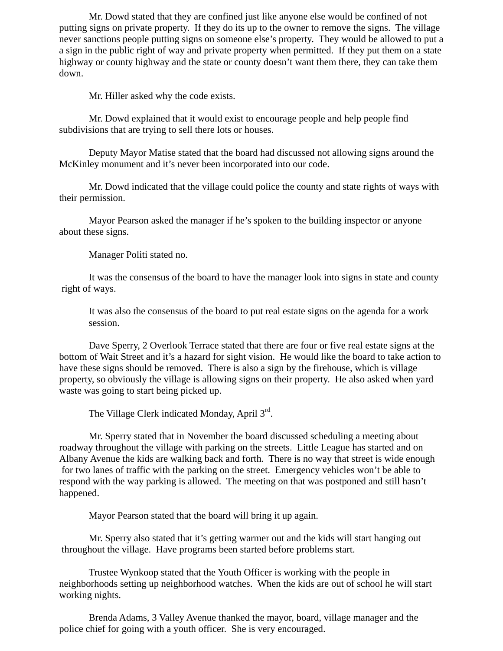Mr. Dowd stated that they are confined just like anyone else would be confined of not putting signs on private property. If they do its up to the owner to remove the signs. The village never sanctions people putting signs on someone else's property. They would be allowed to put a a sign in the public right of way and private property when permitted. If they put them on a state highway or county highway and the state or county doesn't want them there, they can take them down.

Mr. Hiller asked why the code exists.

 Mr. Dowd explained that it would exist to encourage people and help people find subdivisions that are trying to sell there lots or houses.

 Deputy Mayor Matise stated that the board had discussed not allowing signs around the McKinley monument and it's never been incorporated into our code.

 Mr. Dowd indicated that the village could police the county and state rights of ways with their permission.

 Mayor Pearson asked the manager if he's spoken to the building inspector or anyone about these signs.

Manager Politi stated no.

 It was the consensus of the board to have the manager look into signs in state and county right of ways.

 It was also the consensus of the board to put real estate signs on the agenda for a work session.

 Dave Sperry, 2 Overlook Terrace stated that there are four or five real estate signs at the bottom of Wait Street and it's a hazard for sight vision. He would like the board to take action to have these signs should be removed. There is also a sign by the firehouse, which is village property, so obviously the village is allowing signs on their property. He also asked when yard waste was going to start being picked up.

The Village Clerk indicated Monday, April 3<sup>rd</sup>.

 Mr. Sperry stated that in November the board discussed scheduling a meeting about roadway throughout the village with parking on the streets. Little League has started and on Albany Avenue the kids are walking back and forth. There is no way that street is wide enough for two lanes of traffic with the parking on the street. Emergency vehicles won't be able to respond with the way parking is allowed. The meeting on that was postponed and still hasn't happened.

Mayor Pearson stated that the board will bring it up again.

 Mr. Sperry also stated that it's getting warmer out and the kids will start hanging out throughout the village. Have programs been started before problems start.

 Trustee Wynkoop stated that the Youth Officer is working with the people in neighborhoods setting up neighborhood watches. When the kids are out of school he will start working nights.

 Brenda Adams, 3 Valley Avenue thanked the mayor, board, village manager and the police chief for going with a youth officer. She is very encouraged.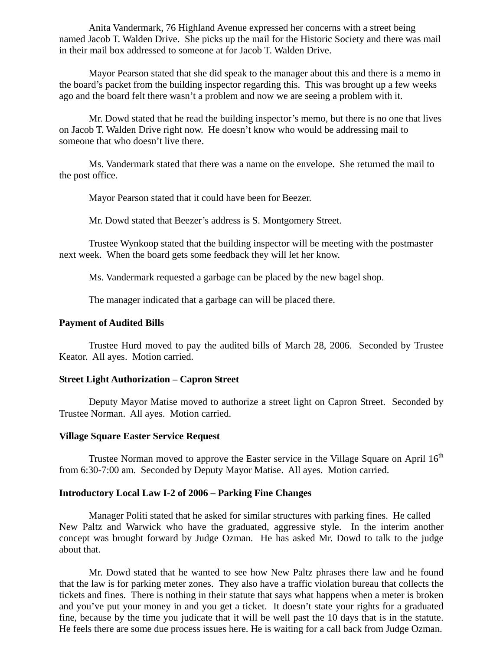Anita Vandermark, 76 Highland Avenue expressed her concerns with a street being named Jacob T. Walden Drive. She picks up the mail for the Historic Society and there was mail in their mail box addressed to someone at for Jacob T. Walden Drive.

 Mayor Pearson stated that she did speak to the manager about this and there is a memo in the board's packet from the building inspector regarding this. This was brought up a few weeks ago and the board felt there wasn't a problem and now we are seeing a problem with it.

 Mr. Dowd stated that he read the building inspector's memo, but there is no one that lives on Jacob T. Walden Drive right now. He doesn't know who would be addressing mail to someone that who doesn't live there.

 Ms. Vandermark stated that there was a name on the envelope. She returned the mail to the post office.

Mayor Pearson stated that it could have been for Beezer.

Mr. Dowd stated that Beezer's address is S. Montgomery Street.

 Trustee Wynkoop stated that the building inspector will be meeting with the postmaster next week. When the board gets some feedback they will let her know.

Ms. Vandermark requested a garbage can be placed by the new bagel shop.

The manager indicated that a garbage can will be placed there.

#### **Payment of Audited Bills**

Trustee Hurd moved to pay the audited bills of March 28, 2006. Seconded by Trustee Keator. All ayes. Motion carried.

## **Street Light Authorization – Capron Street**

Deputy Mayor Matise moved to authorize a street light on Capron Street. Seconded by Trustee Norman. All ayes. Motion carried.

## **Village Square Easter Service Request**

Trustee Norman moved to approve the Easter service in the Village Square on April  $16<sup>th</sup>$ from 6:30-7:00 am. Seconded by Deputy Mayor Matise. All ayes. Motion carried.

## **Introductory Local Law I-2 of 2006 – Parking Fine Changes**

Manager Politi stated that he asked for similar structures with parking fines. He called New Paltz and Warwick who have the graduated, aggressive style. In the interim another concept was brought forward by Judge Ozman. He has asked Mr. Dowd to talk to the judge about that.

Mr. Dowd stated that he wanted to see how New Paltz phrases there law and he found that the law is for parking meter zones. They also have a traffic violation bureau that collects the tickets and fines. There is nothing in their statute that says what happens when a meter is broken and you've put your money in and you get a ticket. It doesn't state your rights for a graduated fine, because by the time you judicate that it will be well past the 10 days that is in the statute. He feels there are some due process issues here. He is waiting for a call back from Judge Ozman.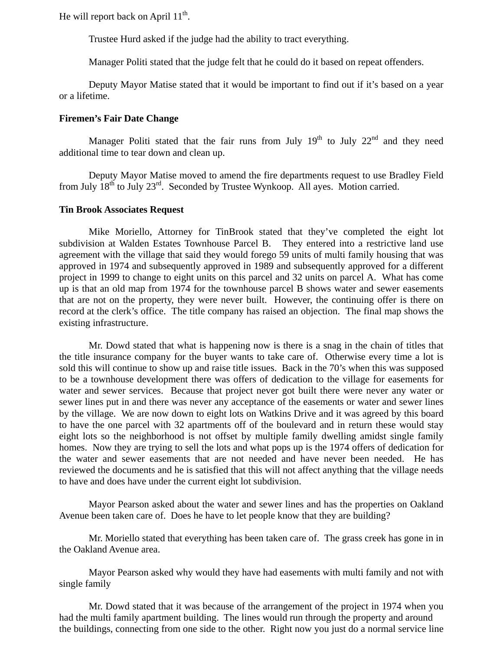He will report back on April  $11^{th}$ .

Trustee Hurd asked if the judge had the ability to tract everything.

Manager Politi stated that the judge felt that he could do it based on repeat offenders.

 Deputy Mayor Matise stated that it would be important to find out if it's based on a year or a lifetime.

#### **Firemen's Fair Date Change**

Manager Politi stated that the fair runs from July  $19<sup>th</sup>$  to July  $22<sup>nd</sup>$  and they need additional time to tear down and clean up.

 Deputy Mayor Matise moved to amend the fire departments request to use Bradley Field from July  $18^{th}$  to July  $23^{rd}$ . Seconded by Trustee Wynkoop. All ayes. Motion carried.

## **Tin Brook Associates Request**

Mike Moriello, Attorney for TinBrook stated that they've completed the eight lot subdivision at Walden Estates Townhouse Parcel B. They entered into a restrictive land use agreement with the village that said they would forego 59 units of multi family housing that was approved in 1974 and subsequently approved in 1989 and subsequently approved for a different project in 1999 to change to eight units on this parcel and 32 units on parcel A. What has come up is that an old map from 1974 for the townhouse parcel B shows water and sewer easements that are not on the property, they were never built. However, the continuing offer is there on record at the clerk's office. The title company has raised an objection. The final map shows the existing infrastructure.

 Mr. Dowd stated that what is happening now is there is a snag in the chain of titles that the title insurance company for the buyer wants to take care of. Otherwise every time a lot is sold this will continue to show up and raise title issues. Back in the 70's when this was supposed to be a townhouse development there was offers of dedication to the village for easements for water and sewer services. Because that project never got built there were never any water or sewer lines put in and there was never any acceptance of the easements or water and sewer lines by the village. We are now down to eight lots on Watkins Drive and it was agreed by this board to have the one parcel with 32 apartments off of the boulevard and in return these would stay eight lots so the neighborhood is not offset by multiple family dwelling amidst single family homes. Now they are trying to sell the lots and what pops up is the 1974 offers of dedication for the water and sewer easements that are not needed and have never been needed. He has reviewed the documents and he is satisfied that this will not affect anything that the village needs to have and does have under the current eight lot subdivision.

 Mayor Pearson asked about the water and sewer lines and has the properties on Oakland Avenue been taken care of. Does he have to let people know that they are building?

 Mr. Moriello stated that everything has been taken care of. The grass creek has gone in in the Oakland Avenue area.

 Mayor Pearson asked why would they have had easements with multi family and not with single family

 Mr. Dowd stated that it was because of the arrangement of the project in 1974 when you had the multi family apartment building. The lines would run through the property and around the buildings, connecting from one side to the other. Right now you just do a normal service line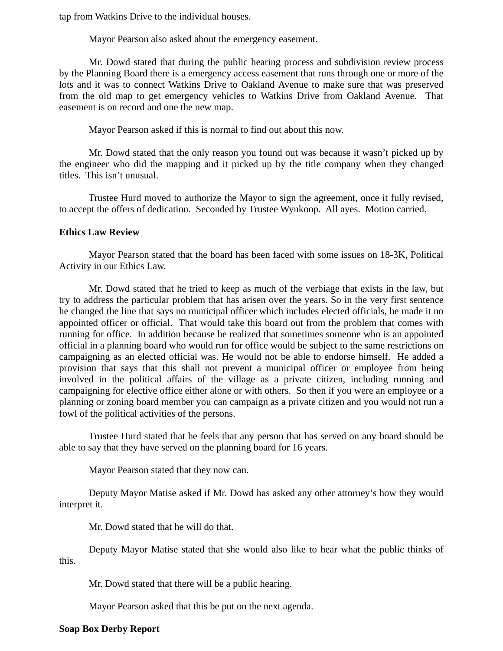tap from Watkins Drive to the individual houses.

Mayor Pearson also asked about the emergency easement.

 Mr. Dowd stated that during the public hearing process and subdivision review process by the Planning Board there is a emergency access easement that runs through one or more of the lots and it was to connect Watkins Drive to Oakland Avenue to make sure that was preserved from the old map to get emergency vehicles to Watkins Drive from Oakland Avenue. That easement is on record and one the new map.

Mayor Pearson asked if this is normal to find out about this now.

 Mr. Dowd stated that the only reason you found out was because it wasn't picked up by the engineer who did the mapping and it picked up by the title company when they changed titles. This isn't unusual.

 Trustee Hurd moved to authorize the Mayor to sign the agreement, once it fully revised, to accept the offers of dedication. Seconded by Trustee Wynkoop. All ayes. Motion carried.

## **Ethics Law Review**

Mayor Pearson stated that the board has been faced with some issues on 18-3K, Political Activity in our Ethics Law.

 Mr. Dowd stated that he tried to keep as much of the verbiage that exists in the law, but try to address the particular problem that has arisen over the years. So in the very first sentence he changed the line that says no municipal officer which includes elected officials, he made it no appointed officer or official. That would take this board out from the problem that comes with running for office. In addition because he realized that sometimes someone who is an appointed official in a planning board who would run for office would be subject to the same restrictions on campaigning as an elected official was. He would not be able to endorse himself. He added a provision that says that this shall not prevent a municipal officer or employee from being involved in the political affairs of the village as a private citizen, including running and campaigning for elective office either alone or with others. So then if you were an employee or a planning or zoning board member you can campaign as a private citizen and you would not run a fowl of the political activities of the persons.

 Trustee Hurd stated that he feels that any person that has served on any board should be able to say that they have served on the planning board for 16 years.

Mayor Pearson stated that they now can.

 Deputy Mayor Matise asked if Mr. Dowd has asked any other attorney's how they would interpret it.

Mr. Dowd stated that he will do that.

 Deputy Mayor Matise stated that she would also like to hear what the public thinks of this.

Mr. Dowd stated that there will be a public hearing.

Mayor Pearson asked that this be put on the next agenda.

## **Soap Box Derby Report**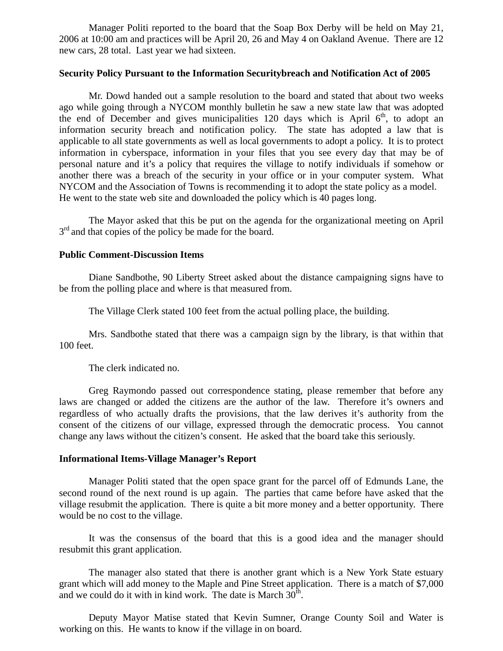Manager Politi reported to the board that the Soap Box Derby will be held on May 21, 2006 at 10:00 am and practices will be April 20, 26 and May 4 on Oakland Avenue. There are 12 new cars, 28 total. Last year we had sixteen.

## **Security Policy Pursuant to the Information Securitybreach and Notification Act of 2005**

Mr. Dowd handed out a sample resolution to the board and stated that about two weeks ago while going through a NYCOM monthly bulletin he saw a new state law that was adopted the end of December and gives municipalities 120 days which is April  $6<sup>th</sup>$ , to adopt an information security breach and notification policy. The state has adopted a law that is applicable to all state governments as well as local governments to adopt a policy. It is to protect information in cyberspace, information in your files that you see every day that may be of personal nature and it's a policy that requires the village to notify individuals if somehow or another there was a breach of the security in your office or in your computer system. What NYCOM and the Association of Towns is recommending it to adopt the state policy as a model. He went to the state web site and downloaded the policy which is 40 pages long.

 The Mayor asked that this be put on the agenda for the organizational meeting on April  $3<sup>rd</sup>$  and that copies of the policy be made for the board.

# **Public Comment-Discussion Items**

Diane Sandbothe, 90 Liberty Street asked about the distance campaigning signs have to be from the polling place and where is that measured from.

The Village Clerk stated 100 feet from the actual polling place, the building.

 Mrs. Sandbothe stated that there was a campaign sign by the library, is that within that 100 feet.

The clerk indicated no.

 Greg Raymondo passed out correspondence stating, please remember that before any laws are changed or added the citizens are the author of the law. Therefore it's owners and regardless of who actually drafts the provisions, that the law derives it's authority from the consent of the citizens of our village, expressed through the democratic process. You cannot change any laws without the citizen's consent. He asked that the board take this seriously.

## **Informational Items-Village Manager's Report**

Manager Politi stated that the open space grant for the parcel off of Edmunds Lane, the second round of the next round is up again. The parties that came before have asked that the village resubmit the application. There is quite a bit more money and a better opportunity. There would be no cost to the village.

 It was the consensus of the board that this is a good idea and the manager should resubmit this grant application.

 The manager also stated that there is another grant which is a New York State estuary grant which will add money to the Maple and Pine Street application. There is a match of \$7,000 and we could do it with in kind work. The date is March  $30<sup>th</sup>$ .

 Deputy Mayor Matise stated that Kevin Sumner, Orange County Soil and Water is working on this. He wants to know if the village in on board.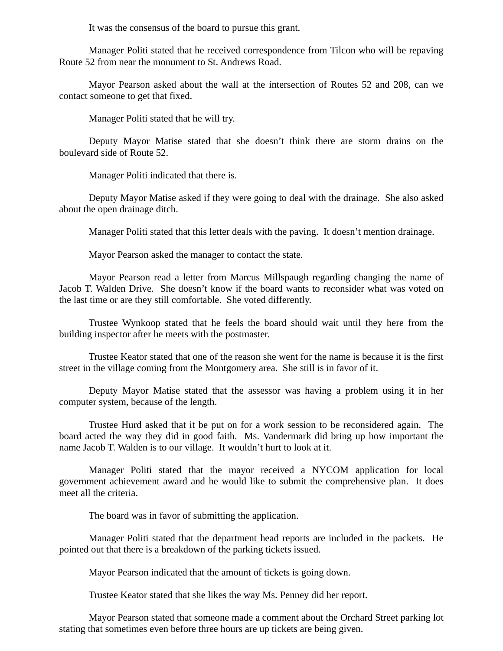It was the consensus of the board to pursue this grant.

 Manager Politi stated that he received correspondence from Tilcon who will be repaving Route 52 from near the monument to St. Andrews Road.

 Mayor Pearson asked about the wall at the intersection of Routes 52 and 208, can we contact someone to get that fixed.

Manager Politi stated that he will try.

 Deputy Mayor Matise stated that she doesn't think there are storm drains on the boulevard side of Route 52.

Manager Politi indicated that there is.

 Deputy Mayor Matise asked if they were going to deal with the drainage. She also asked about the open drainage ditch.

Manager Politi stated that this letter deals with the paving. It doesn't mention drainage.

Mayor Pearson asked the manager to contact the state.

 Mayor Pearson read a letter from Marcus Millspaugh regarding changing the name of Jacob T. Walden Drive. She doesn't know if the board wants to reconsider what was voted on the last time or are they still comfortable. She voted differently.

 Trustee Wynkoop stated that he feels the board should wait until they here from the building inspector after he meets with the postmaster.

 Trustee Keator stated that one of the reason she went for the name is because it is the first street in the village coming from the Montgomery area. She still is in favor of it.

 Deputy Mayor Matise stated that the assessor was having a problem using it in her computer system, because of the length.

 Trustee Hurd asked that it be put on for a work session to be reconsidered again. The board acted the way they did in good faith. Ms. Vandermark did bring up how important the name Jacob T. Walden is to our village. It wouldn't hurt to look at it.

Manager Politi stated that the mayor received a NYCOM application for local government achievement award and he would like to submit the comprehensive plan. It does meet all the criteria.

The board was in favor of submitting the application.

 Manager Politi stated that the department head reports are included in the packets. He pointed out that there is a breakdown of the parking tickets issued.

Mayor Pearson indicated that the amount of tickets is going down.

Trustee Keator stated that she likes the way Ms. Penney did her report.

 Mayor Pearson stated that someone made a comment about the Orchard Street parking lot stating that sometimes even before three hours are up tickets are being given.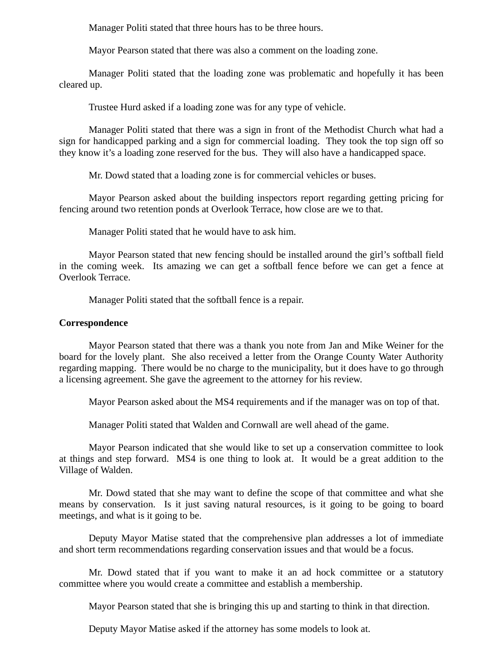Manager Politi stated that three hours has to be three hours.

Mayor Pearson stated that there was also a comment on the loading zone.

 Manager Politi stated that the loading zone was problematic and hopefully it has been cleared up.

Trustee Hurd asked if a loading zone was for any type of vehicle.

 Manager Politi stated that there was a sign in front of the Methodist Church what had a sign for handicapped parking and a sign for commercial loading. They took the top sign off so they know it's a loading zone reserved for the bus. They will also have a handicapped space.

Mr. Dowd stated that a loading zone is for commercial vehicles or buses.

 Mayor Pearson asked about the building inspectors report regarding getting pricing for fencing around two retention ponds at Overlook Terrace, how close are we to that.

Manager Politi stated that he would have to ask him.

 Mayor Pearson stated that new fencing should be installed around the girl's softball field in the coming week. Its amazing we can get a softball fence before we can get a fence at Overlook Terrace.

Manager Politi stated that the softball fence is a repair.

## **Correspondence**

Mayor Pearson stated that there was a thank you note from Jan and Mike Weiner for the board for the lovely plant. She also received a letter from the Orange County Water Authority regarding mapping. There would be no charge to the municipality, but it does have to go through a licensing agreement. She gave the agreement to the attorney for his review.

Mayor Pearson asked about the MS4 requirements and if the manager was on top of that.

Manager Politi stated that Walden and Cornwall are well ahead of the game.

 Mayor Pearson indicated that she would like to set up a conservation committee to look at things and step forward. MS4 is one thing to look at. It would be a great addition to the Village of Walden.

 Mr. Dowd stated that she may want to define the scope of that committee and what she means by conservation. Is it just saving natural resources, is it going to be going to board meetings, and what is it going to be.

 Deputy Mayor Matise stated that the comprehensive plan addresses a lot of immediate and short term recommendations regarding conservation issues and that would be a focus.

 Mr. Dowd stated that if you want to make it an ad hock committee or a statutory committee where you would create a committee and establish a membership.

Mayor Pearson stated that she is bringing this up and starting to think in that direction.

Deputy Mayor Matise asked if the attorney has some models to look at.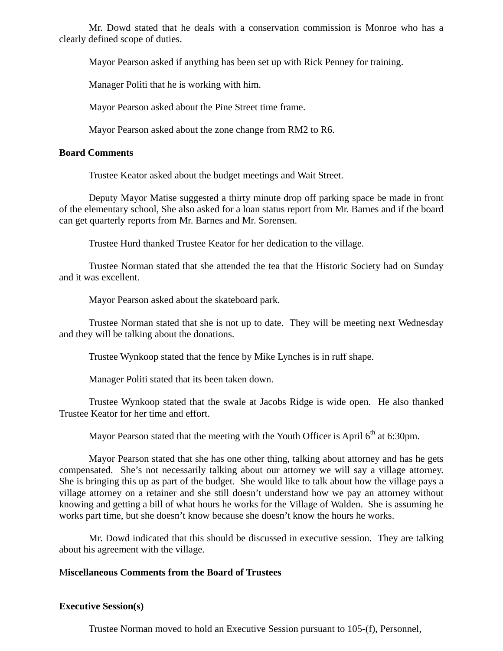Mr. Dowd stated that he deals with a conservation commission is Monroe who has a clearly defined scope of duties.

Mayor Pearson asked if anything has been set up with Rick Penney for training.

Manager Politi that he is working with him.

Mayor Pearson asked about the Pine Street time frame.

Mayor Pearson asked about the zone change from RM2 to R6.

## **Board Comments**

Trustee Keator asked about the budget meetings and Wait Street.

 Deputy Mayor Matise suggested a thirty minute drop off parking space be made in front of the elementary school, She also asked for a loan status report from Mr. Barnes and if the board can get quarterly reports from Mr. Barnes and Mr. Sorensen.

Trustee Hurd thanked Trustee Keator for her dedication to the village.

 Trustee Norman stated that she attended the tea that the Historic Society had on Sunday and it was excellent.

Mayor Pearson asked about the skateboard park.

 Trustee Norman stated that she is not up to date. They will be meeting next Wednesday and they will be talking about the donations.

Trustee Wynkoop stated that the fence by Mike Lynches is in ruff shape.

Manager Politi stated that its been taken down.

 Trustee Wynkoop stated that the swale at Jacobs Ridge is wide open. He also thanked Trustee Keator for her time and effort.

Mayor Pearson stated that the meeting with the Youth Officer is April  $6<sup>th</sup>$  at 6:30pm.

 Mayor Pearson stated that she has one other thing, talking about attorney and has he gets compensated. She's not necessarily talking about our attorney we will say a village attorney. She is bringing this up as part of the budget. She would like to talk about how the village pays a village attorney on a retainer and she still doesn't understand how we pay an attorney without knowing and getting a bill of what hours he works for the Village of Walden. She is assuming he works part time, but she doesn't know because she doesn't know the hours he works.

 Mr. Dowd indicated that this should be discussed in executive session. They are talking about his agreement with the village.

# M**iscellaneous Comments from the Board of Trustees**

# **Executive Session(s)**

Trustee Norman moved to hold an Executive Session pursuant to 105-(f), Personnel,